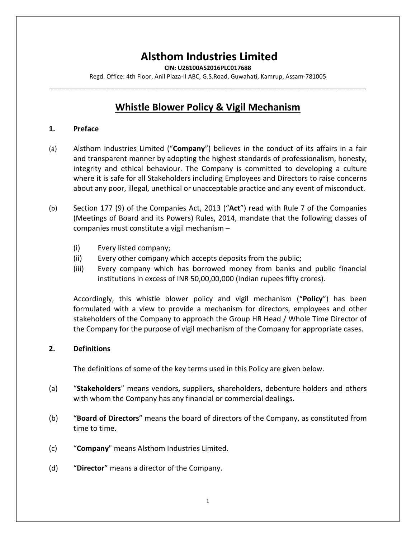# **Alsthom Industries Limited**

**CIN: U26100AS2016PLC017688** 

Regd. Office: 4th Floor, Anil Plaza-II ABC, G.S.Road, Guwahati, Kamrup, Assam-781005 \_\_\_\_\_\_\_\_\_\_\_\_\_\_\_\_\_\_\_\_\_\_\_\_\_\_\_\_\_\_\_\_\_\_\_\_\_\_\_\_\_\_\_\_\_\_\_\_\_\_\_\_\_\_\_\_\_\_\_\_\_\_\_\_\_\_\_\_\_\_\_\_\_\_\_\_\_\_

# **Whistle Blower Policy & Vigil Mechanism**

#### **1. Preface**

- (a) Alsthom Industries Limited ("**Company**") believes in the conduct of its affairs in a fair and transparent manner by adopting the highest standards of professionalism, honesty, integrity and ethical behaviour. The Company is committed to developing a culture where it is safe for all Stakeholders including Employees and Directors to raise concerns about any poor, illegal, unethical or unacceptable practice and any event of misconduct.
- (b) Section 177 (9) of the Companies Act, 2013 ("**Act**") read with Rule 7 of the Companies (Meetings of Board and its Powers) Rules, 2014, mandate that the following classes of companies must constitute a vigil mechanism –
	- (i) Every listed company;
	- (ii) Every other company which accepts deposits from the public;
	- (iii) Every company which has borrowed money from banks and public financial institutions in excess of INR 50,00,00,000 (Indian rupees fifty crores).

Accordingly, this whistle blower policy and vigil mechanism ("**Policy**") has been formulated with a view to provide a mechanism for directors, employees and other stakeholders of the Company to approach the Group HR Head / Whole Time Director of the Company for the purpose of vigil mechanism of the Company for appropriate cases.

# **2. Definitions**

The definitions of some of the key terms used in this Policy are given below.

- (a) "**Stakeholders**" means vendors, suppliers, shareholders, debenture holders and others with whom the Company has any financial or commercial dealings.
- (b) "**Board of Directors**" means the board of directors of the Company, as constituted from time to time.
- (c) "**Company**" means Alsthom Industries Limited.
- (d) "**Director**" means a director of the Company.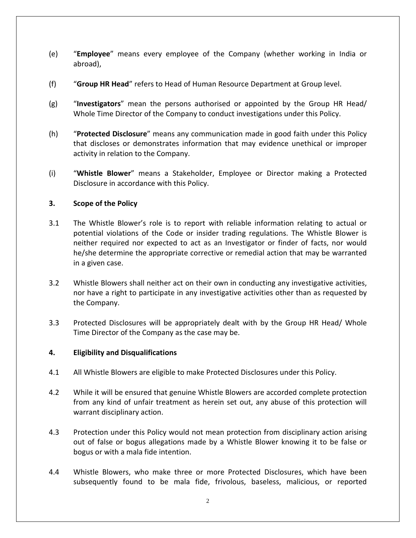- (e) "**Employee**" means every employee of the Company (whether working in India or abroad),
- (f) "**Group HR Head**" refers to Head of Human Resource Department at Group level.
- (g) "**Investigators**" mean the persons authorised or appointed by the Group HR Head/ Whole Time Director of the Company to conduct investigations under this Policy.
- (h) "**Protected Disclosure**" means any communication made in good faith under this Policy that discloses or demonstrates information that may evidence unethical or improper activity in relation to the Company.
- (i) "**Whistle Blower**" means a Stakeholder, Employee or Director making a Protected Disclosure in accordance with this Policy.

# **3. Scope of the Policy**

- 3.1 The Whistle Blower's role is to report with reliable information relating to actual or potential violations of the Code or insider trading regulations. The Whistle Blower is neither required nor expected to act as an Investigator or finder of facts, nor would he/she determine the appropriate corrective or remedial action that may be warranted in a given case.
- 3.2 Whistle Blowers shall neither act on their own in conducting any investigative activities, nor have a right to participate in any investigative activities other than as requested by the Company.
- 3.3 Protected Disclosures will be appropriately dealt with by the Group HR Head/ Whole Time Director of the Company as the case may be.

### **4. Eligibility and Disqualifications**

- 4.1 All Whistle Blowers are eligible to make Protected Disclosures under this Policy.
- 4.2 While it will be ensured that genuine Whistle Blowers are accorded complete protection from any kind of unfair treatment as herein set out, any abuse of this protection will warrant disciplinary action.
- 4.3 Protection under this Policy would not mean protection from disciplinary action arising out of false or bogus allegations made by a Whistle Blower knowing it to be false or bogus or with a mala fide intention.
- 4.4 Whistle Blowers, who make three or more Protected Disclosures, which have been subsequently found to be mala fide, frivolous, baseless, malicious, or reported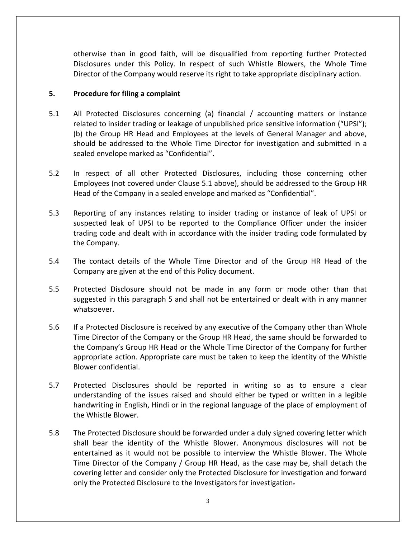otherwise than in good faith, will be disqualified from reporting further Protected Disclosures under this Policy. In respect of such Whistle Blowers, the Whole Time Director of the Company would reserve its right to take appropriate disciplinary action.

## **5. Procedure for filing a complaint**

- 5.1 All Protected Disclosures concerning (a) financial / accounting matters or instance related to insider trading or leakage of unpublished price sensitive information ("UPSI"); (b) the Group HR Head and Employees at the levels of General Manager and above, should be addressed to the Whole Time Director for investigation and submitted in a sealed envelope marked as "Confidential".
- 5.2 In respect of all other Protected Disclosures, including those concerning other Employees (not covered under Clause 5.1 above), should be addressed to the Group HR Head of the Company in a sealed envelope and marked as "Confidential".
- 5.3 Reporting of any instances relating to insider trading or instance of leak of UPSI or suspected leak of UPSI to be reported to the Compliance Officer under the insider trading code and dealt with in accordance with the insider trading code formulated by the Company.
- 5.4 The contact details of the Whole Time Director and of the Group HR Head of the Company are given at the end of this Policy document.
- 5.5 Protected Disclosure should not be made in any form or mode other than that suggested in this paragraph 5 and shall not be entertained or dealt with in any manner whatsoever.
- 5.6 If a Protected Disclosure is received by any executive of the Company other than Whole Time Director of the Company or the Group HR Head, the same should be forwarded to the Company's Group HR Head or the Whole Time Director of the Company for further appropriate action. Appropriate care must be taken to keep the identity of the Whistle Blower confidential.
- 5.7 Protected Disclosures should be reported in writing so as to ensure a clear understanding of the issues raised and should either be typed or written in a legible handwriting in English, Hindi or in the regional language of the place of employment of the Whistle Blower.
- 5.8 The Protected Disclosure should be forwarded under a duly signed covering letter which shall bear the identity of the Whistle Blower. Anonymous disclosures will not be entertained as it would not be possible to interview the Whistle Blower. The Whole Time Director of the Company / Group HR Head, as the case may be, shall detach the covering letter and consider only the Protected Disclosure for investigation and forward only the Protected Disclosure to the Investigators for investigation-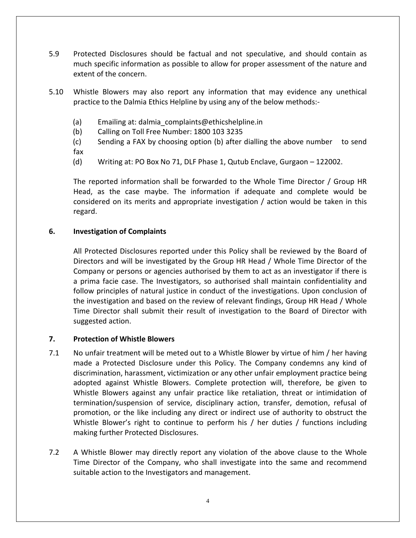- 5.9 Protected Disclosures should be factual and not speculative, and should contain as much specific information as possible to allow for proper assessment of the nature and extent of the concern.
- 5.10 Whistle Blowers may also report any information that may evidence any unethical practice to the Dalmia Ethics Helpline by using any of the below methods:-
	- (a) Emailing at: dalmia\_complaints@ethicshelpline.in
	- (b) Calling on Toll Free Number: 1800 103 3235
	- (c) Sending a FAX by choosing option (b) after dialling the above number to send fax
	- (d) Writing at: PO Box No 71, DLF Phase 1, Qutub Enclave, Gurgaon 122002.

The reported information shall be forwarded to the Whole Time Director / Group HR Head, as the case maybe. The information if adequate and complete would be considered on its merits and appropriate investigation / action would be taken in this regard.

# **6. Investigation of Complaints**

All Protected Disclosures reported under this Policy shall be reviewed by the Board of Directors and will be investigated by the Group HR Head / Whole Time Director of the Company or persons or agencies authorised by them to act as an investigator if there is a prima facie case. The Investigators, so authorised shall maintain confidentiality and follow principles of natural justice in conduct of the investigations. Upon conclusion of the investigation and based on the review of relevant findings, Group HR Head / Whole Time Director shall submit their result of investigation to the Board of Director with suggested action.

### **7. Protection of Whistle Blowers**

- 7.1 No unfair treatment will be meted out to a Whistle Blower by virtue of him / her having made a Protected Disclosure under this Policy. The Company condemns any kind of discrimination, harassment, victimization or any other unfair employment practice being adopted against Whistle Blowers. Complete protection will, therefore, be given to Whistle Blowers against any unfair practice like retaliation, threat or intimidation of termination/suspension of service, disciplinary action, transfer, demotion, refusal of promotion, or the like including any direct or indirect use of authority to obstruct the Whistle Blower's right to continue to perform his / her duties / functions including making further Protected Disclosures.
- 7.2 A Whistle Blower may directly report any violation of the above clause to the Whole Time Director of the Company, who shall investigate into the same and recommend suitable action to the Investigators and management.